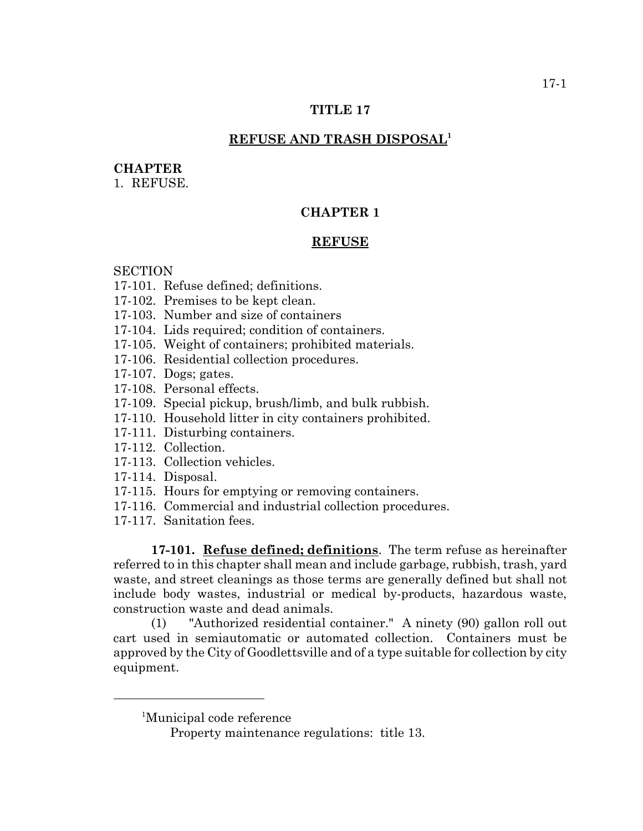# **TITLE 17**

# **REFUSE AND TRASH DISPOSAL1**

#### **CHAPTER**

1. REFUSE.

# **CHAPTER 1**

#### **REFUSE**

# **SECTION**

- 17-101. Refuse defined; definitions.
- 17-102. Premises to be kept clean.
- 17-103. Number and size of containers
- 17-104. Lids required; condition of containers.
- 17-105. Weight of containers; prohibited materials.
- 17-106. Residential collection procedures.
- 17-107. Dogs; gates.
- 17-108. Personal effects.
- 17-109. Special pickup, brush/limb, and bulk rubbish.
- 17-110. Household litter in city containers prohibited.
- 17-111. Disturbing containers.
- 17-112. Collection.
- 17-113. Collection vehicles.
- 17-114. Disposal.
- 17-115. Hours for emptying or removing containers.
- 17-116. Commercial and industrial collection procedures.
- 17-117. Sanitation fees.

**17-101. Refuse defined; definitions**. The term refuse as hereinafter referred to in this chapter shall mean and include garbage, rubbish, trash, yard waste, and street cleanings as those terms are generally defined but shall not include body wastes, industrial or medical by-products, hazardous waste, construction waste and dead animals.

(1) "Authorized residential container." A ninety (90) gallon roll out cart used in semiautomatic or automated collection. Containers must be approved by the City of Goodlettsville and of a type suitable for collection by city equipment.

<sup>1</sup> Municipal code reference

Property maintenance regulations: title 13.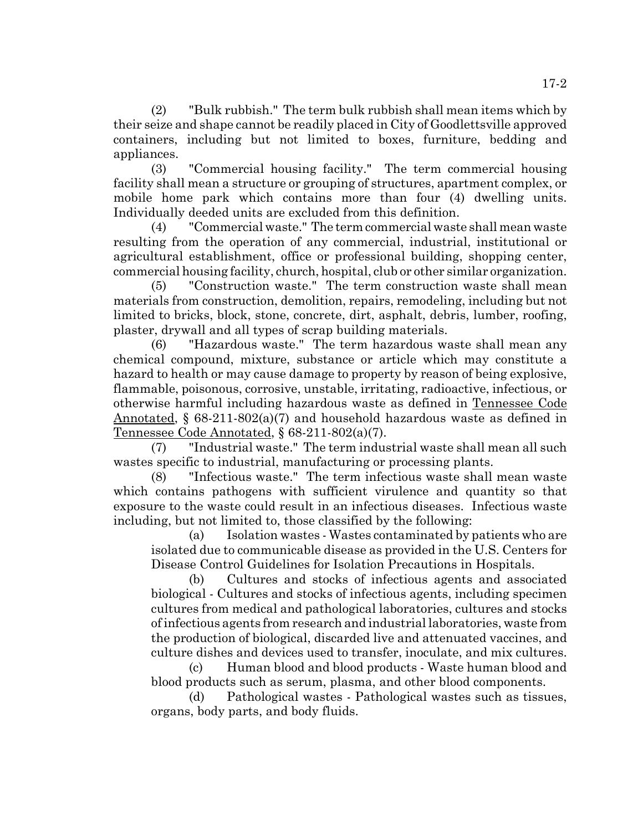(2) "Bulk rubbish." The term bulk rubbish shall mean items which by their seize and shape cannot be readily placed in City of Goodlettsville approved containers, including but not limited to boxes, furniture, bedding and appliances.

(3) "Commercial housing facility." The term commercial housing facility shall mean a structure or grouping of structures, apartment complex, or mobile home park which contains more than four (4) dwelling units. Individually deeded units are excluded from this definition.

(4) "Commercial waste." The term commercial waste shall mean waste resulting from the operation of any commercial, industrial, institutional or agricultural establishment, office or professional building, shopping center, commercial housing facility, church, hospital, club or other similar organization.

(5) "Construction waste." The term construction waste shall mean materials from construction, demolition, repairs, remodeling, including but not limited to bricks, block, stone, concrete, dirt, asphalt, debris, lumber, roofing, plaster, drywall and all types of scrap building materials.

(6) "Hazardous waste." The term hazardous waste shall mean any chemical compound, mixture, substance or article which may constitute a hazard to health or may cause damage to property by reason of being explosive, flammable, poisonous, corrosive, unstable, irritating, radioactive, infectious, or otherwise harmful including hazardous waste as defined in Tennessee Code Annotated, § 68-211-802(a)(7) and household hazardous waste as defined in Tennessee Code Annotated, § 68-211-802(a)(7).

(7) "Industrial waste." The term industrial waste shall mean all such wastes specific to industrial, manufacturing or processing plants.

(8) "Infectious waste." The term infectious waste shall mean waste which contains pathogens with sufficient virulence and quantity so that exposure to the waste could result in an infectious diseases. Infectious waste including, but not limited to, those classified by the following:

(a) Isolation wastes - Wastes contaminated by patients who are isolated due to communicable disease as provided in the U.S. Centers for Disease Control Guidelines for Isolation Precautions in Hospitals.

(b) Cultures and stocks of infectious agents and associated biological - Cultures and stocks of infectious agents, including specimen cultures from medical and pathological laboratories, cultures and stocks of infectious agents from research and industrial laboratories, waste from the production of biological, discarded live and attenuated vaccines, and culture dishes and devices used to transfer, inoculate, and mix cultures.

(c) Human blood and blood products - Waste human blood and blood products such as serum, plasma, and other blood components.

(d) Pathological wastes - Pathological wastes such as tissues, organs, body parts, and body fluids.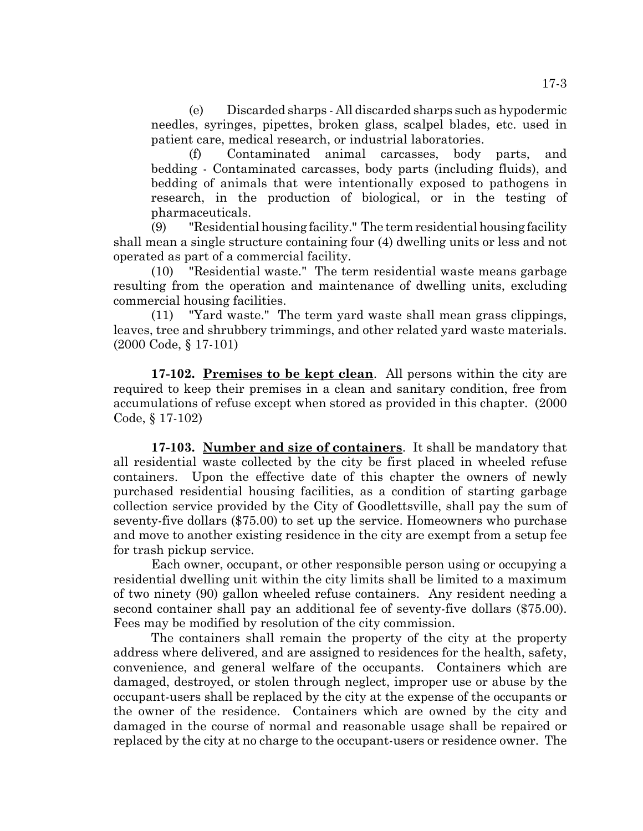(e) Discarded sharps - All discarded sharps such as hypodermic needles, syringes, pipettes, broken glass, scalpel blades, etc. used in patient care, medical research, or industrial laboratories.

(f) Contaminated animal carcasses, body parts, and bedding - Contaminated carcasses, body parts (including fluids), and bedding of animals that were intentionally exposed to pathogens in research, in the production of biological, or in the testing of pharmaceuticals.

(9) "Residential housing facility." The term residential housing facility shall mean a single structure containing four (4) dwelling units or less and not operated as part of a commercial facility.

(10) "Residential waste." The term residential waste means garbage resulting from the operation and maintenance of dwelling units, excluding commercial housing facilities.

(11) "Yard waste." The term yard waste shall mean grass clippings, leaves, tree and shrubbery trimmings, and other related yard waste materials. (2000 Code, § 17-101)

**17-102. Premises to be kept clean**. All persons within the city are required to keep their premises in a clean and sanitary condition, free from accumulations of refuse except when stored as provided in this chapter. (2000 Code, § 17-102)

**17-103. Number and size of containers**. It shall be mandatory that all residential waste collected by the city be first placed in wheeled refuse containers. Upon the effective date of this chapter the owners of newly purchased residential housing facilities, as a condition of starting garbage collection service provided by the City of Goodlettsville, shall pay the sum of seventy-five dollars (\$75.00) to set up the service. Homeowners who purchase and move to another existing residence in the city are exempt from a setup fee for trash pickup service.

Each owner, occupant, or other responsible person using or occupying a residential dwelling unit within the city limits shall be limited to a maximum of two ninety (90) gallon wheeled refuse containers. Any resident needing a second container shall pay an additional fee of seventy-five dollars (\$75.00). Fees may be modified by resolution of the city commission.

The containers shall remain the property of the city at the property address where delivered, and are assigned to residences for the health, safety, convenience, and general welfare of the occupants. Containers which are damaged, destroyed, or stolen through neglect, improper use or abuse by the occupant-users shall be replaced by the city at the expense of the occupants or the owner of the residence. Containers which are owned by the city and damaged in the course of normal and reasonable usage shall be repaired or replaced by the city at no charge to the occupant-users or residence owner. The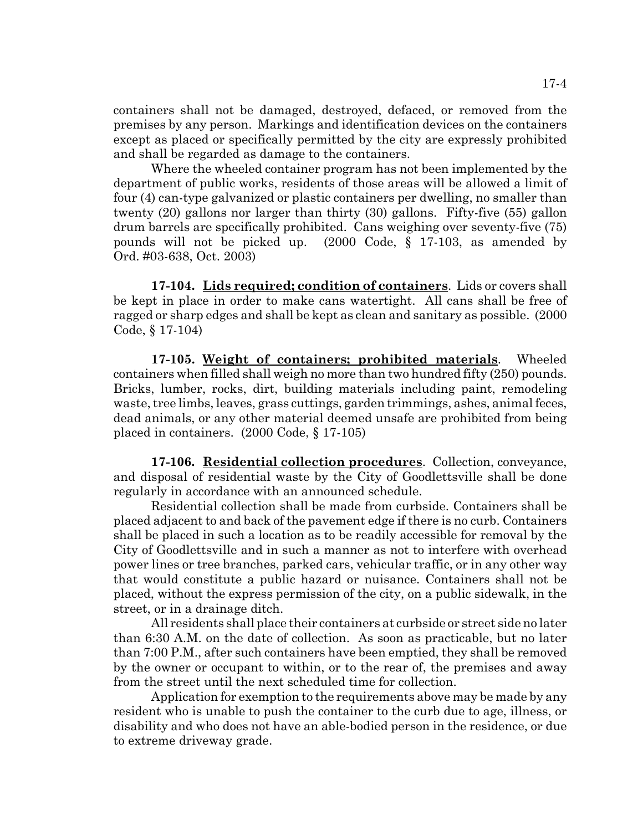containers shall not be damaged, destroyed, defaced, or removed from the premises by any person. Markings and identification devices on the containers except as placed or specifically permitted by the city are expressly prohibited and shall be regarded as damage to the containers.

Where the wheeled container program has not been implemented by the department of public works, residents of those areas will be allowed a limit of four (4) can-type galvanized or plastic containers per dwelling, no smaller than twenty (20) gallons nor larger than thirty (30) gallons. Fifty-five (55) gallon drum barrels are specifically prohibited. Cans weighing over seventy-five (75) pounds will not be picked up. (2000 Code, § 17-103, as amended by Ord. #03-638, Oct. 2003)

**17-104. Lids required; condition of containers**. Lids or covers shall be kept in place in order to make cans watertight. All cans shall be free of ragged or sharp edges and shall be kept as clean and sanitary as possible. (2000 Code, § 17-104)

**17-105. Weight of containers; prohibited materials**. Wheeled containers when filled shall weigh no more than two hundred fifty (250) pounds. Bricks, lumber, rocks, dirt, building materials including paint, remodeling waste, tree limbs, leaves, grass cuttings, garden trimmings, ashes, animal feces, dead animals, or any other material deemed unsafe are prohibited from being placed in containers. (2000 Code, § 17-105)

**17-106. Residential collection procedures**. Collection, conveyance, and disposal of residential waste by the City of Goodlettsville shall be done regularly in accordance with an announced schedule.

Residential collection shall be made from curbside. Containers shall be placed adjacent to and back of the pavement edge if there is no curb. Containers shall be placed in such a location as to be readily accessible for removal by the City of Goodlettsville and in such a manner as not to interfere with overhead power lines or tree branches, parked cars, vehicular traffic, or in any other way that would constitute a public hazard or nuisance. Containers shall not be placed, without the express permission of the city, on a public sidewalk, in the street, or in a drainage ditch.

All residents shall place their containers at curbside or street side no later than 6:30 A.M. on the date of collection. As soon as practicable, but no later than 7:00 P.M., after such containers have been emptied, they shall be removed by the owner or occupant to within, or to the rear of, the premises and away from the street until the next scheduled time for collection.

Application for exemption to the requirements above may be made by any resident who is unable to push the container to the curb due to age, illness, or disability and who does not have an able-bodied person in the residence, or due to extreme driveway grade.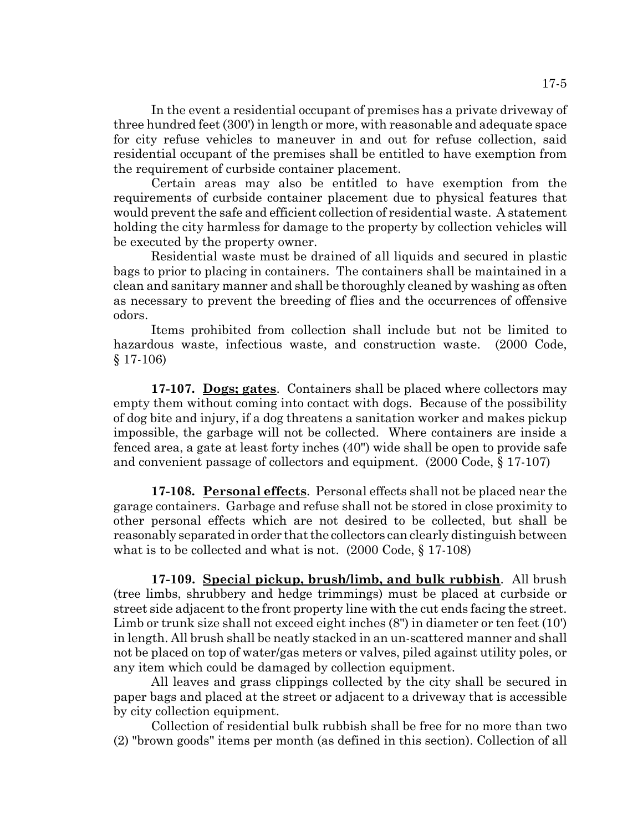In the event a residential occupant of premises has a private driveway of three hundred feet (300') in length or more, with reasonable and adequate space for city refuse vehicles to maneuver in and out for refuse collection, said residential occupant of the premises shall be entitled to have exemption from the requirement of curbside container placement.

Certain areas may also be entitled to have exemption from the requirements of curbside container placement due to physical features that would prevent the safe and efficient collection of residential waste. A statement holding the city harmless for damage to the property by collection vehicles will be executed by the property owner.

Residential waste must be drained of all liquids and secured in plastic bags to prior to placing in containers. The containers shall be maintained in a clean and sanitary manner and shall be thoroughly cleaned by washing as often as necessary to prevent the breeding of flies and the occurrences of offensive odors.

Items prohibited from collection shall include but not be limited to hazardous waste, infectious waste, and construction waste. (2000 Code, § 17-106)

**17-107. Dogs; gates**. Containers shall be placed where collectors may empty them without coming into contact with dogs. Because of the possibility of dog bite and injury, if a dog threatens a sanitation worker and makes pickup impossible, the garbage will not be collected. Where containers are inside a fenced area, a gate at least forty inches (40") wide shall be open to provide safe and convenient passage of collectors and equipment. (2000 Code, § 17-107)

**17-108. Personal effects**. Personal effects shall not be placed near the garage containers. Garbage and refuse shall not be stored in close proximity to other personal effects which are not desired to be collected, but shall be reasonably separated in order that the collectors can clearly distinguish between what is to be collected and what is not. (2000 Code, § 17-108)

**17-109. Special pickup, brush/limb, and bulk rubbish**. All brush (tree limbs, shrubbery and hedge trimmings) must be placed at curbside or street side adjacent to the front property line with the cut ends facing the street. Limb or trunk size shall not exceed eight inches (8") in diameter or ten feet (10') in length. All brush shall be neatly stacked in an un-scattered manner and shall not be placed on top of water/gas meters or valves, piled against utility poles, or any item which could be damaged by collection equipment.

All leaves and grass clippings collected by the city shall be secured in paper bags and placed at the street or adjacent to a driveway that is accessible by city collection equipment.

Collection of residential bulk rubbish shall be free for no more than two (2) "brown goods" items per month (as defined in this section). Collection of all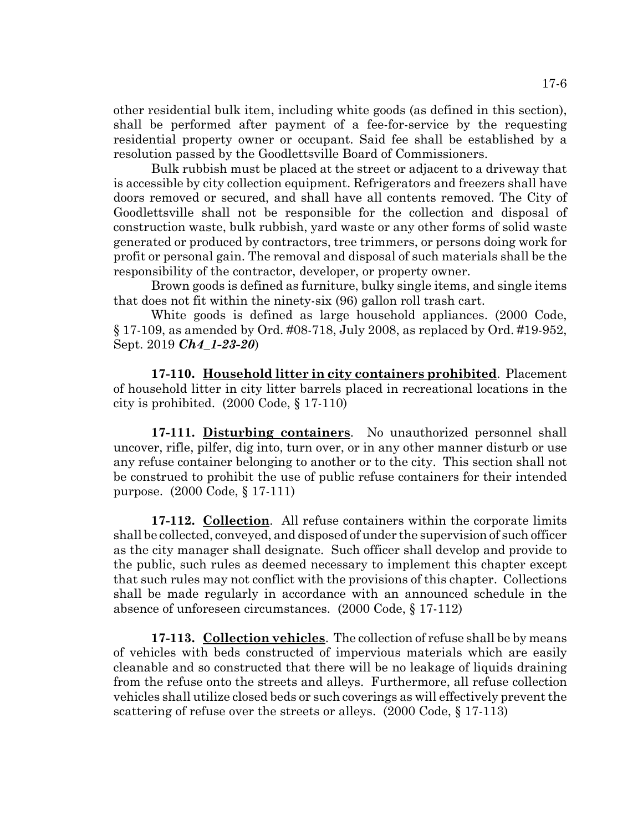other residential bulk item, including white goods (as defined in this section), shall be performed after payment of a fee-for-service by the requesting residential property owner or occupant. Said fee shall be established by a resolution passed by the Goodlettsville Board of Commissioners.

Bulk rubbish must be placed at the street or adjacent to a driveway that is accessible by city collection equipment. Refrigerators and freezers shall have doors removed or secured, and shall have all contents removed. The City of Goodlettsville shall not be responsible for the collection and disposal of construction waste, bulk rubbish, yard waste or any other forms of solid waste generated or produced by contractors, tree trimmers, or persons doing work for profit or personal gain. The removal and disposal of such materials shall be the responsibility of the contractor, developer, or property owner.

Brown goods is defined as furniture, bulky single items, and single items that does not fit within the ninety-six (96) gallon roll trash cart.

White goods is defined as large household appliances. (2000 Code, § 17-109, as amended by Ord. #08-718, July 2008, as replaced by Ord. #19-952, Sept. 2019 *Ch4\_1-23-20*)

**17-110. Household litter in city containers prohibited**. Placement of household litter in city litter barrels placed in recreational locations in the city is prohibited. (2000 Code, § 17-110)

**17-111. Disturbing containers**. No unauthorized personnel shall uncover, rifle, pilfer, dig into, turn over, or in any other manner disturb or use any refuse container belonging to another or to the city. This section shall not be construed to prohibit the use of public refuse containers for their intended purpose. (2000 Code, § 17-111)

**17-112. Collection**. All refuse containers within the corporate limits shall be collected, conveyed, and disposed of under the supervision of such officer as the city manager shall designate. Such officer shall develop and provide to the public, such rules as deemed necessary to implement this chapter except that such rules may not conflict with the provisions of this chapter. Collections shall be made regularly in accordance with an announced schedule in the absence of unforeseen circumstances. (2000 Code, § 17-112)

**17-113. Collection vehicles**. The collection of refuse shall be by means of vehicles with beds constructed of impervious materials which are easily cleanable and so constructed that there will be no leakage of liquids draining from the refuse onto the streets and alleys. Furthermore, all refuse collection vehicles shall utilize closed beds or such coverings as will effectively prevent the scattering of refuse over the streets or alleys. (2000 Code, § 17-113)